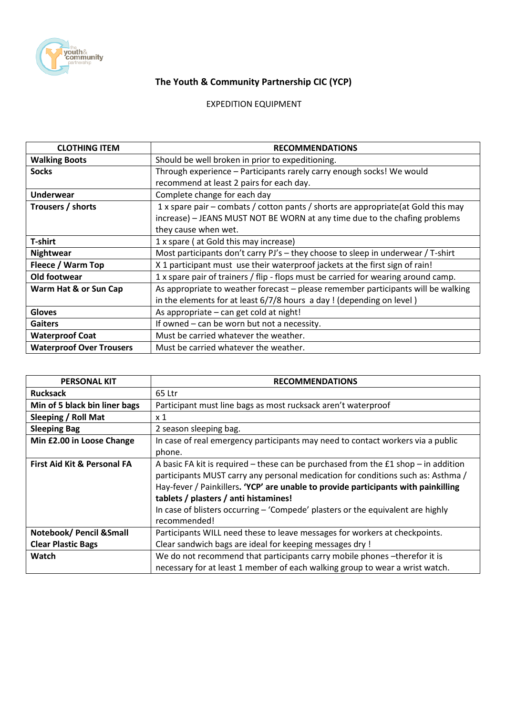

## **The Youth & Community Partnership CIC (YCP)**

## EXPEDITION EQUIPMENT

| <b>CLOTHING ITEM</b>            | <b>RECOMMENDATIONS</b>                                                             |
|---------------------------------|------------------------------------------------------------------------------------|
| <b>Walking Boots</b>            | Should be well broken in prior to expeditioning.                                   |
| <b>Socks</b>                    | Through experience - Participants rarely carry enough socks! We would              |
|                                 | recommend at least 2 pairs for each day.                                           |
| <b>Underwear</b>                | Complete change for each day                                                       |
| Trousers / shorts               | 1 x spare pair – combats / cotton pants / shorts are appropriate(at Gold this may  |
|                                 | increase) - JEANS MUST NOT BE WORN at any time due to the chafing problems         |
|                                 | they cause when wet.                                                               |
| T-shirt                         | 1 x spare (at Gold this may increase)                                              |
| <b>Nightwear</b>                | Most participants don't carry PJ's - they choose to sleep in underwear / T-shirt   |
| Fleece / Warm Top               | X 1 participant must use their waterproof jackets at the first sign of rain!       |
| Old footwear                    | 1 x spare pair of trainers / flip - flops must be carried for wearing around camp. |
| Warm Hat & or Sun Cap           | As appropriate to weather forecast - please remember participants will be walking  |
|                                 | in the elements for at least 6/7/8 hours a day! (depending on level)               |
| <b>Gloves</b>                   | As appropriate - can get cold at night!                                            |
| <b>Gaiters</b>                  | If owned - can be worn but not a necessity.                                        |
| <b>Waterproof Coat</b>          | Must be carried whatever the weather.                                              |
| <b>Waterproof Over Trousers</b> | Must be carried whatever the weather.                                              |

| <b>PERSONAL KIT</b>                    | <b>RECOMMENDATIONS</b>                                                               |
|----------------------------------------|--------------------------------------------------------------------------------------|
| <b>Rucksack</b>                        | 65 Ltr                                                                               |
| Min of 5 black bin liner bags          | Participant must line bags as most rucksack aren't waterproof                        |
| Sleeping / Roll Mat                    | $\times 1$                                                                           |
| <b>Sleeping Bag</b>                    | 2 season sleeping bag.                                                               |
| Min £2.00 in Loose Change              | In case of real emergency participants may need to contact workers via a public      |
|                                        | phone.                                                                               |
| <b>First Aid Kit &amp; Personal FA</b> | A basic FA kit is required – these can be purchased from the $£1$ shop – in addition |
|                                        | participants MUST carry any personal medication for conditions such as: Asthma /     |
|                                        | Hay-fever / Painkillers. 'YCP' are unable to provide participants with painkilling   |
|                                        | tablets / plasters / anti histamines!                                                |
|                                        | In case of blisters occurring $-$ 'Compede' plasters or the equivalent are highly    |
|                                        | recommended!                                                                         |
| Notebook/ Pencil & Small               | Participants WILL need these to leave messages for workers at checkpoints.           |
| <b>Clear Plastic Bags</b>              | Clear sandwich bags are ideal for keeping messages dry !                             |
| Watch                                  | We do not recommend that participants carry mobile phones - therefor it is           |
|                                        | necessary for at least 1 member of each walking group to wear a wrist watch.         |